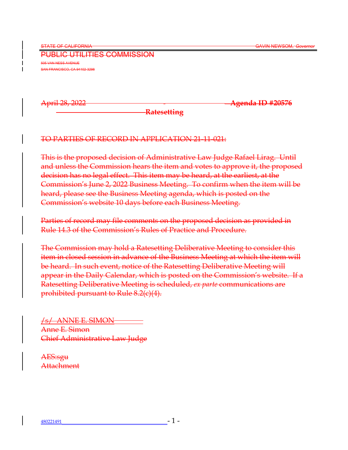PUBLIC UTILITIES COMMISSION 505 VAN NESS AVENUE SAN FRANCISCO, CA 94102-3298

April 28, 2022 **Agenda ID #20576**

**Ratesetting**

# TO PARTIES OF RECORD IN APPLICATION 21-11-021:

This is the proposed decision of Administrative Law Judge Rafael Lirag. Until and unless the Commission hears the item and votes to approve it, the proposed decision has no legal effect. This item may be heard, at the earliest, at the Commission's June 2, 2022 Business Meeting. To confirm when the item will be heard, please see the Business Meeting agenda, which is posted on the Commission's website 10 days before each Business Meeting.

Parties of record may file comments on the proposed decision as provided in Rule 14.3 of the Commission's Rules of Practice and Procedure.

The Commission may hold a Ratesetting Deliberative Meeting to consider this item in closed session in advance of the Business Meeting at which the item will be heard. In such event, notice of the Ratesetting Deliberative Meeting will appear in the Daily Calendar, which is posted on the Commission's website. If a Ratesetting Deliberative Meeting is scheduled, *ex parte* communications are prohibited pursuant to Rule 8.2(c)(4).

/s/ ANNE E. SIMON Anne E. Simon Chief Administrative Law Judge

AES:sgu **Attachment**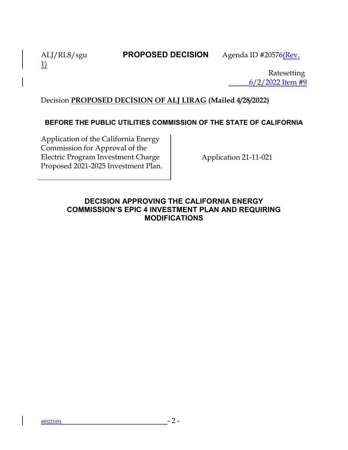1)

ALJ/RL8/sgu **PROPOSED DECISION** Agenda ID #20576(Rev.

Ratesetting 6/2/2022 Item #9

# Decision **PROPOSED DECISION OF ALJ LIRAG (Mailed 4/28/2022)**

# **BEFORE THE PUBLIC UTILITIES COMMISSION OF THE STATE OF CALIFORNIA**

Application of the California Energy Commission for Approval of the Electric Program Investment Charge Proposed 2021-2025 Investment Plan.

Application 21-11-021

# **DECISION APPROVING THE CALIFORNIA ENERGY COMMISSION'S EPIC 4 INVESTMENT PLAN AND REQUIRING MODIFICATIONS**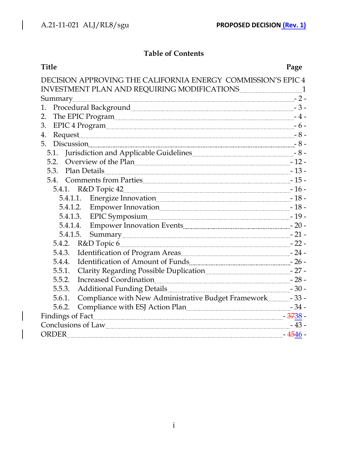$\begin{array}{c} \hline \end{array}$ 

 $\overline{\phantom{a}}$ 

 $\overline{\phantom{a}}$ 

# **Table of Contents**

| Title                                                                                     | Page |
|-------------------------------------------------------------------------------------------|------|
| DECISION APPROVING THE CALIFORNIA ENERGY COMMISSION'S EPIC 4                              |      |
| INVESTMENT PLAN AND REQUIRING MODIFICATIONS <b>Example 2014</b> 1                         |      |
|                                                                                           |      |
| Procedural Background<br>1.                                                               |      |
| 2.                                                                                        |      |
| 3.                                                                                        |      |
| 4.                                                                                        |      |
| 5.<br>Discussion 3 -                                                                      |      |
| Jurisdiction and Applicable Guidelines [1001] [1001] -8 -<br>5.1.                         |      |
| 5.2. Overview of the Plan 5.2. All and the Plan 21 -                                      |      |
| Plan Details 13 -<br>5.3.                                                                 |      |
| 5.4. Comments from Parties <u>Comments of the Render States of the Render States</u> 15 - |      |
|                                                                                           |      |
| 5.4.1.1. Energize Innovation [18] [18] -                                                  |      |
| 5.4.1.2. Empower Innovation                                                               |      |
|                                                                                           |      |
| Summary 21 -<br>5.4.1.5.                                                                  |      |
|                                                                                           |      |
| 5.4.3. Identification of Program Areas <b>Election 24</b> -                               |      |
| 5.4.4. Identification of Amount of Funds <u>[</u> [11] The state of the state of $-26$ -  |      |
| Clarity Regarding Possible Duplication [1001] [27 -<br>5.5.1.                             |      |
| Increased Coordination<br>5.5.2.                                                          |      |
| 5.5.3.                                                                                    |      |
| Compliance with New Administrative Budget Framework ___________ - 33 -<br>5.6.1.          |      |
| Compliance with ESJ Action Plan [100] [2010] [2010] [34 -<br>5.6.2.                       |      |
|                                                                                           |      |
|                                                                                           |      |
| <b>ORDER</b>                                                                              |      |
|                                                                                           |      |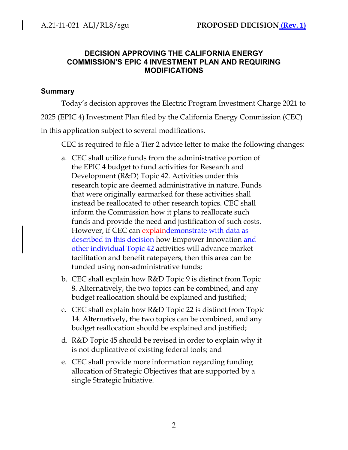### **DECISION APPROVING THE CALIFORNIA ENERGY COMMISSION'S EPIC 4 INVESTMENT PLAN AND REQUIRING MODIFICATIONS**

### **Summary**

Today's decision approves the Electric Program Investment Charge 2021 to

2025 (EPIC 4) Investment Plan filed by the California Energy Commission (CEC)

in this application subject to several modifications.

CEC is required to file a Tier 2 advice letter to make the following changes:

- a. CEC shall utilize funds from the administrative portion of the EPIC 4 budget to fund activities for Research and Development (R&D) Topic 42. Activities under this research topic are deemed administrative in nature. Funds that were originally earmarked for these activities shall instead be reallocated to other research topics. CEC shall inform the Commission how it plans to reallocate such funds and provide the need and justification of such costs. However, if CEC can explaindemonstrate with data as described in this decision how Empower Innovation and other individual Topic 42 activities will advance market facilitation and benefit ratepayers, then this area can be funded using non-administrative funds;
- b. CEC shall explain how R&D Topic 9 is distinct from Topic 8. Alternatively, the two topics can be combined, and any budget reallocation should be explained and justified;
- c. CEC shall explain how R&D Topic 22 is distinct from Topic 14. Alternatively, the two topics can be combined, and any budget reallocation should be explained and justified;
- d. R&D Topic 45 should be revised in order to explain why it is not duplicative of existing federal tools; and
- e. CEC shall provide more information regarding funding allocation of Strategic Objectives that are supported by a single Strategic Initiative.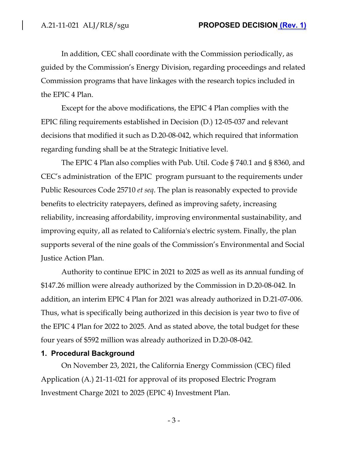In addition, CEC shall coordinate with the Commission periodically, as guided by the Commission's Energy Division, regarding proceedings and related Commission programs that have linkages with the research topics included in the EPIC 4 Plan.

Except for the above modifications, the EPIC 4 Plan complies with the EPIC filing requirements established in Decision (D.) 12-05-037 and relevant decisions that modified it such as D.20-08-042, which required that information regarding funding shall be at the Strategic Initiative level.

The EPIC 4 Plan also complies with Pub. Util. Code § 740.1 and § 8360, and CEC's administration of the EPIC program pursuant to the requirements under Public Resources Code 25710 *et seq*. The plan is reasonably expected to provide benefits to electricity ratepayers, defined as improving safety, increasing reliability, increasing affordability, improving environmental sustainability, and improving equity, all as related to California's electric system. Finally, the plan supports several of the nine goals of the Commission's Environmental and Social Justice Action Plan.

Authority to continue EPIC in 2021 to 2025 as well as its annual funding of \$147.26 million were already authorized by the Commission in D.20-08-042. In addition, an interim EPIC 4 Plan for 2021 was already authorized in D.21-07-006. Thus, what is specifically being authorized in this decision is year two to five of the EPIC 4 Plan for 2022 to 2025. And as stated above, the total budget for these four years of \$592 million was already authorized in D.20-08-042.

#### **1. Procedural Background**

On November 23, 2021, the California Energy Commission (CEC) filed Application (A.) 21-11-021 for approval of its proposed Electric Program Investment Charge 2021 to 2025 (EPIC 4) Investment Plan.

- 3 -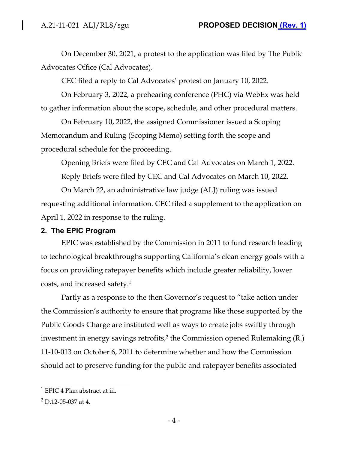On December 30, 2021, a protest to the application was filed by The Public Advocates Office (Cal Advocates).

CEC filed a reply to Cal Advocates' protest on January 10, 2022.

On February 3, 2022, a prehearing conference (PHC) via WebEx was held to gather information about the scope, schedule, and other procedural matters.

On February 10, 2022, the assigned Commissioner issued a Scoping Memorandum and Ruling (Scoping Memo) setting forth the scope and procedural schedule for the proceeding.

Opening Briefs were filed by CEC and Cal Advocates on March 1, 2022.

Reply Briefs were filed by CEC and Cal Advocates on March 10, 2022.

On March 22, an administrative law judge (ALJ) ruling was issued requesting additional information. CEC filed a supplement to the application on April 1, 2022 in response to the ruling.

# **2. The EPIC Program**

EPIC was established by the Commission in 2011 to fund research leading to technological breakthroughs supporting California's clean energy goals with a focus on providing ratepayer benefits which include greater reliability, lower costs, and increased safety.<sup>1</sup>

Partly as a response to the then Governor's request to "take action under the Commission's authority to ensure that programs like those supported by the Public Goods Charge are instituted well as ways to create jobs swiftly through investment in energy savings retrofits,<sup>2</sup> the Commission opened Rulemaking (R.) 11-10-013 on October 6, 2011 to determine whether and how the Commission should act to preserve funding for the public and ratepayer benefits associated

 $^1$  EPIC 4 Plan abstract at iii.

 $2$  D.12-05-037 at 4.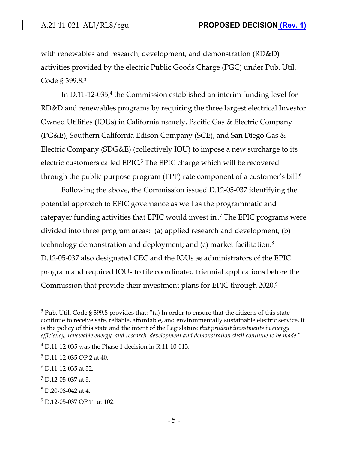with renewables and research, development, and demonstration (RD&D) activities provided by the electric Public Goods Charge (PGC) under Pub. Util. Code § 399.8.<sup>3</sup>

In  $D.11$ -12-035,<sup>4</sup> the Commission established an interim funding level for RD&D and renewables programs by requiring the three largest electrical Investor Owned Utilities (IOUs) in California namely, Pacific Gas & Electric Company (PG&E), Southern California Edison Company (SCE), and San Diego Gas & Electric Company (SDG&E) (collectively IOU) to impose a new surcharge to its electric customers called EPIC.<sup>5</sup> The EPIC charge which will be recovered through the public purpose program (PPP) rate component of a customer's bill.<sup>6</sup>

Following the above, the Commission issued D.12-05-037 identifying the potential approach to EPIC governance as well as the programmatic and ratepayer funding activities that EPIC would invest in . 7 The EPIC programs were divided into three program areas: (a) applied research and development; (b) technology demonstration and deployment; and (c) market facilitation.<sup>8</sup> D.12-05-037 also designated CEC and the IOUs as administrators of the EPIC program and required IOUs to file coordinated triennial applications before the Commission that provide their investment plans for EPIC through 2020.<sup>9</sup>

 $3$  Pub. Util. Code § 399.8 provides that: "(a) In order to ensure that the citizens of this state continue to receive safe, reliable, affordable, and environmentally sustainable electric service, it is the policy of this state and the intent of the Legislature *that prudent investments in energy efficiency, renewable energy, and research, development and demonstration shall continue to be made*."

<sup>4</sup> D.11-12-035 was the Phase 1 decision in R.11-10-013.

 $5$  D.11-12-035 OP 2 at 40.

 $^6$  D.11-12-035 at 32.

 $7$  D.12-05-037 at 5.

 $8$  D.20-08-042 at 4.

<sup>&</sup>lt;sup>9</sup> D.12-05-037 OP 11 at 102.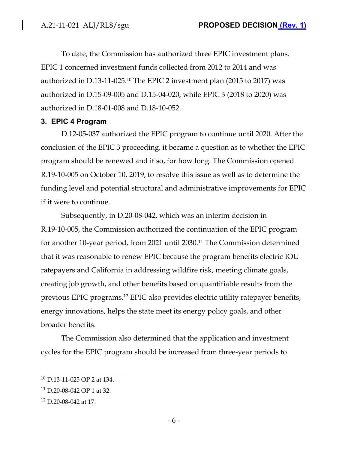To date, the Commission has authorized three EPIC investment plans. EPIC 1 concerned investment funds collected from 2012 to 2014 and was authorized in D.13-11-025.<sup>10</sup> The EPIC 2 investment plan (2015 to 2017) was authorized in D.15-09-005 and D.15-04-020, while EPIC 3 (2018 to 2020) was authorized in D.18-01-008 and D.18-10-052.

### **3. EPIC 4 Program**

D.12-05-037 authorized the EPIC program to continue until 2020. After the conclusion of the EPIC 3 proceeding, it became a question as to whether the EPIC program should be renewed and if so, for how long. The Commission opened R.19-10-005 on October 10, 2019, to resolve this issue as well as to determine the funding level and potential structural and administrative improvements for EPIC if it were to continue.

Subsequently, in D.20-08-042, which was an interim decision in R.19-10-005, the Commission authorized the continuation of the EPIC program for another 10-year period, from 2021 until 2030.<sup>11</sup> The Commission determined that it was reasonable to renew EPIC because the program benefits electric IOU ratepayers and California in addressing wildfire risk, meeting climate goals, creating job growth, and other benefits based on quantifiable results from the previous EPIC programs.<sup>12</sup> EPIC also provides electric utility ratepayer benefits, energy innovations, helps the state meet its energy policy goals, and other broader benefits.

The Commission also determined that the application and investment cycles for the EPIC program should be increased from three-year periods to

<sup>10</sup> D.13-11-025 OP 2 at 134.

<sup>11</sup> D.20-08-042 OP 1 at 32.

<sup>12</sup> D.20-08-042 at 17.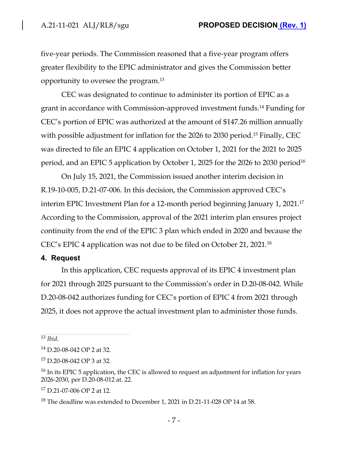five-year periods. The Commission reasoned that a five-year program offers greater flexibility to the EPIC administrator and gives the Commission better opportunity to oversee the program.<sup>13</sup>

CEC was designated to continue to administer its portion of EPIC as a grant in accordance with Commission-approved investment funds.<sup>14</sup> Funding for CEC's portion of EPIC was authorized at the amount of \$147.26 million annually with possible adjustment for inflation for the 2026 to 2030 period.<sup>15</sup> Finally, CEC was directed to file an EPIC 4 application on October 1, 2021 for the 2021 to 2025 period, and an EPIC 5 application by October 1, 2025 for the 2026 to 2030 period<sup>16</sup>

On July 15, 2021, the Commission issued another interim decision in R.19-10-005, D.21-07-006. In this decision, the Commission approved CEC's interim EPIC Investment Plan for a 12-month period beginning January 1, 2021.<sup>17</sup> According to the Commission, approval of the 2021 interim plan ensures project continuity from the end of the EPIC 3 plan which ended in 2020 and because the CEC's EPIC 4 application was not due to be filed on October 21, 2021.<sup>18</sup>

#### **4. Request**

In this application, CEC requests approval of its EPIC 4 investment plan for 2021 through 2025 pursuant to the Commission's order in D.20-08-042. While D.20-08-042 authorizes funding for CEC's portion of EPIC 4 from 2021 through 2025, it does not approve the actual investment plan to administer those funds.

<sup>13</sup> *Ibid*.

<sup>14</sup> D.20-08-042 OP 2 at 32.

<sup>15</sup> D.20-08-042 OP 3 at 32.

 $16$  In its EPIC 5 application, the CEC is allowed to request an adjustment for inflation for years 2026-2030, per D.20-08-012 at. 22.

<sup>17</sup> D.21-07-006 OP 2 at 12.

<sup>18</sup> The deadline was extended to December 1, 2021 in D.21-11-028 OP 14 at 58.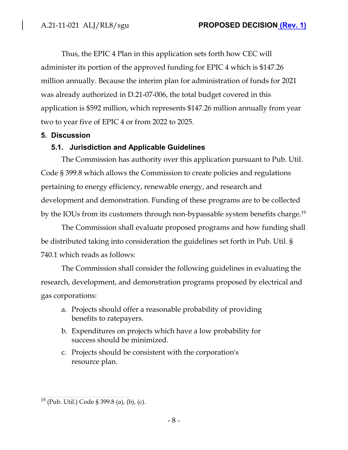Thus, the EPIC 4 Plan in this application sets forth how CEC will administer its portion of the approved funding for EPIC 4 which is \$147.26 million annually. Because the interim plan for administration of funds for 2021 was already authorized in D.21-07-006, the total budget covered in this application is \$592 million, which represents \$147.26 million annually from year two to year five of EPIC 4 or from 2022 to 2025.

# **5. Discussion**

# **5.1. Jurisdiction and Applicable Guidelines**

The Commission has authority over this application pursuant to Pub. Util. Code § 399.8 which allows the Commission to create policies and regulations pertaining to energy efficiency, renewable energy, and research and development and demonstration. Funding of these programs are to be collected by the IOUs from its customers through non-bypassable system benefits charge.<sup>19</sup>

The Commission shall evaluate proposed programs and how funding shall be distributed taking into consideration the guidelines set forth in Pub. Util. § 740.1 which reads as follows:

The Commission shall consider the following guidelines in evaluating the research, development, and demonstration programs proposed by electrical and gas corporations:

- a. Projects should offer a reasonable probability of providing benefits to ratepayers.
- b. Expenditures on projects which have a low probability for success should be minimized.
- c. Projects should be consistent with the corporation's resource plan.

<sup>19</sup> (Pub. Util.) Code § 399.8 (a), (b), (c).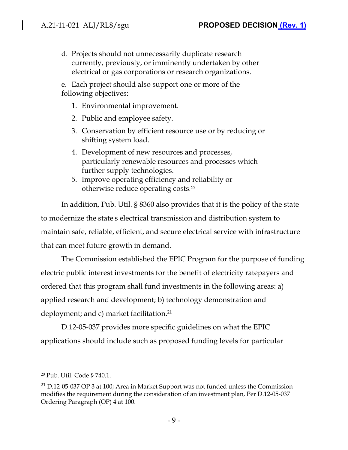d. Projects should not unnecessarily duplicate research currently, previously, or imminently undertaken by other electrical or gas corporations or research organizations.

e. Each project should also support one or more of the following objectives:

- 1. Environmental improvement.
- 2. Public and employee safety.
- 3. Conservation by efficient resource use or by reducing or shifting system load.
- 4. Development of new resources and processes, particularly renewable resources and processes which further supply technologies.
- 5. Improve operating efficiency and reliability or otherwise reduce operating costs. 20

In addition, Pub. Util. § 8360 also provides that it is the policy of the state to modernize the state's electrical transmission and distribution system to maintain safe, reliable, efficient, and secure electrical service with infrastructure that can meet future growth in demand.

The Commission established the EPIC Program for the purpose of funding electric public interest investments for the benefit of electricity ratepayers and ordered that this program shall fund investments in the following areas: a) applied research and development; b) technology demonstration and deployment; and c) market facilitation.<sup>21</sup>

D.12-05-037 provides more specific guidelines on what the EPIC applications should include such as proposed funding levels for particular

<sup>20</sup> Pub. Util. Code § 740.1.

 $21$  D.12-05-037 OP 3 at 100; Area in Market Support was not funded unless the Commission modifies the requirement during the consideration of an investment plan, Per D.12-05-037 Ordering Paragraph (OP) 4 at 100.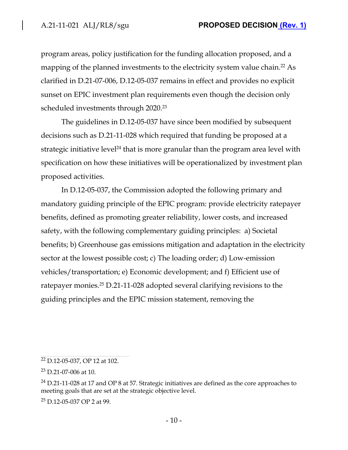program areas, policy justification for the funding allocation proposed, and a mapping of the planned investments to the electricity system value chain.<sup>22</sup> As clarified in D.21-07-006, D.12-05-037 remains in effect and provides no explicit sunset on EPIC investment plan requirements even though the decision only scheduled investments through 2020.<sup>23</sup>

The guidelines in D.12-05-037 have since been modified by subsequent decisions such as D.21-11-028 which required that funding be proposed at a strategic initiative level $^{24}$  that is more granular than the program area level with specification on how these initiatives will be operationalized by investment plan proposed activities.

In D.12-05-037, the Commission adopted the following primary and mandatory guiding principle of the EPIC program: provide electricity ratepayer benefits, defined as promoting greater reliability, lower costs, and increased safety, with the following complementary guiding principles: a) Societal benefits; b) Greenhouse gas emissions mitigation and adaptation in the electricity sector at the lowest possible cost; c) The loading order; d) Low-emission vehicles/transportation; e) Economic development; and f) Efficient use of ratepayer monies.<sup>25</sup> D.21-11-028 adopted several clarifying revisions to the guiding principles and the EPIC mission statement, removing the

<sup>22</sup> D.12-05-037, OP 12 at 102.

<sup>23</sup> D.21-07-006 at 10.

 $24$  D.21-11-028 at 17 and OP 8 at 57. Strategic initiatives are defined as the core approaches to meeting goals that are set at the strategic objective level.

<sup>25</sup> D.12-05-037 OP 2 at 99.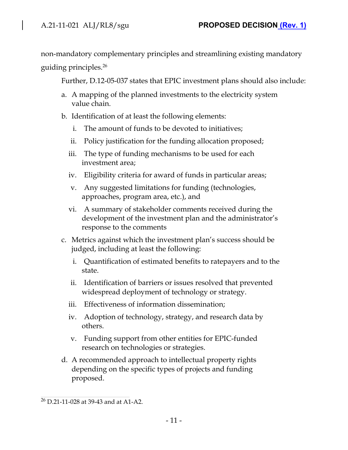non-mandatory complementary principles and streamlining existing mandatory guiding principles.<sup>26</sup>

Further, D.12-05-037 states that EPIC investment plans should also include:

- a. A mapping of the planned investments to the electricity system value chain.
- b. Identification of at least the following elements:
	- i. The amount of funds to be devoted to initiatives;
	- ii. Policy justification for the funding allocation proposed;
	- iii. The type of funding mechanisms to be used for each investment area;
	- iv. Eligibility criteria for award of funds in particular areas;
	- v. Any suggested limitations for funding (technologies, approaches, program area, etc.), and
	- vi. A summary of stakeholder comments received during the development of the investment plan and the administrator's response to the comments
- c. Metrics against which the investment plan's success should be judged, including at least the following:
	- i. Quantification of estimated benefits to ratepayers and to the state.
	- ii. Identification of barriers or issues resolved that prevented widespread deployment of technology or strategy.
	- iii. Effectiveness of information dissemination;
	- iv. Adoption of technology, strategy, and research data by others.
	- v. Funding support from other entities for EPIC-funded research on technologies or strategies.
- d. A recommended approach to intellectual property rights depending on the specific types of projects and funding proposed.

<sup>26</sup> D.21-11-028 at 39-43 and at A1-A2.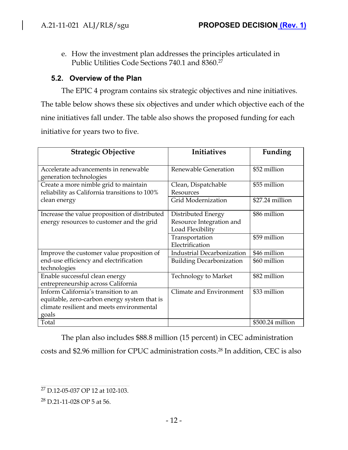$\overline{\phantom{a}}$ 

e. How the investment plan addresses the principles articulated in Public Utilities Code Sections 740.1 and 8360.<sup>27</sup>

# **5.2. Overview of the Plan**

The EPIC 4 program contains six strategic objectives and nine initiatives. The table below shows these six objectives and under which objective each of the nine initiatives fall under. The table also shows the proposed funding for each initiative for years two to five.

| <b>Strategic Objective</b>                                                                                                                 | <b>Initiatives</b>                                                 | Funding          |
|--------------------------------------------------------------------------------------------------------------------------------------------|--------------------------------------------------------------------|------------------|
| Accelerate advancements in renewable<br>generation technologies                                                                            | Renewable Generation                                               | \$52 million     |
| Create a more nimble grid to maintain<br>reliability as California transitions to 100%                                                     | Clean, Dispatchable<br>Resources                                   | \$55 million     |
| clean energy                                                                                                                               | <b>Grid Modernization</b>                                          | \$27.24 million  |
| Increase the value proposition of distributed<br>energy resources to customer and the grid                                                 | Distributed Energy<br>Resource Integration and<br>Load Flexibility | \$86 million     |
|                                                                                                                                            | Transportation<br>Electrification                                  | \$59 million     |
| Improve the customer value proposition of                                                                                                  | <b>Industrial Decarbonization</b>                                  | \$46 million     |
| end-use efficiency and electrification<br>technologies                                                                                     | <b>Building Decarbonization</b>                                    | \$60 million     |
| Enable successful clean energy<br>entrepreneurship across California                                                                       | <b>Technology to Market</b>                                        | \$82 million     |
| Inform California's transition to an<br>equitable, zero-carbon energy system that is<br>climate resilient and meets environmental<br>goals | Climate and Environment                                            | \$33 million     |
| Total                                                                                                                                      |                                                                    | \$500.24 million |

The plan also includes \$88.8 million (15 percent) in CEC administration

costs and \$2.96 million for CPUC administration costs.<sup>28</sup> In addition, CEC is also

<sup>&</sup>lt;sup>27</sup> D.12-05-037 OP 12 at 102-103.

<sup>28</sup> D.21-11-028 OP 5 at 56.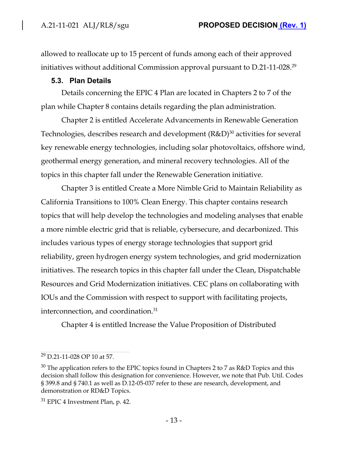allowed to reallocate up to 15 percent of funds among each of their approved initiatives without additional Commission approval pursuant to D.21-11-028.<sup>29</sup>

### **5.3. Plan Details**

Details concerning the EPIC 4 Plan are located in Chapters 2 to 7 of the plan while Chapter 8 contains details regarding the plan administration.

Chapter 2 is entitled Accelerate Advancements in Renewable Generation Technologies, describes research and development  $(\mathrm{R\&D})^{30}$  activities for several key renewable energy technologies, including solar photovoltaics, offshore wind, geothermal energy generation, and mineral recovery technologies. All of the topics in this chapter fall under the Renewable Generation initiative.

Chapter 3 is entitled Create a More Nimble Grid to Maintain Reliability as California Transitions to 100% Clean Energy. This chapter contains research topics that will help develop the technologies and modeling analyses that enable a more nimble electric grid that is reliable, cybersecure, and decarbonized. This includes various types of energy storage technologies that support grid reliability, green hydrogen energy system technologies, and grid modernization initiatives. The research topics in this chapter fall under the Clean, Dispatchable Resources and Grid Modernization initiatives. CEC plans on collaborating with IOUs and the Commission with respect to support with facilitating projects, interconnection, and coordination.<sup>31</sup>

Chapter 4 is entitled Increase the Value Proposition of Distributed

<sup>29</sup> D.21-11-028 OP 10 at 57.

 $30$  The application refers to the EPIC topics found in Chapters 2 to 7 as R&D Topics and this decision shall follow this designation for convenience. However, we note that Pub. Util. Codes § 399.8 and § 740.1 as well as D.12-05-037 refer to these are research, development, and demonstration or RD&D Topics.

<sup>&</sup>lt;sup>31</sup> EPIC 4 Investment Plan, p. 42.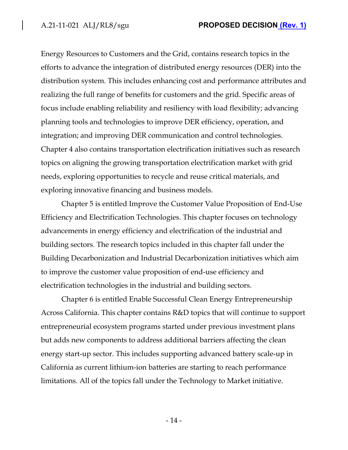Energy Resources to Customers and the Grid, contains research topics in the efforts to advance the integration of distributed energy resources (DER) into the distribution system. This includes enhancing cost and performance attributes and realizing the full range of benefits for customers and the grid. Specific areas of focus include enabling reliability and resiliency with load flexibility; advancing planning tools and technologies to improve DER efficiency, operation, and integration; and improving DER communication and control technologies. Chapter 4 also contains transportation electrification initiatives such as research topics on aligning the growing transportation electrification market with grid needs, exploring opportunities to recycle and reuse critical materials, and exploring innovative financing and business models.

Chapter 5 is entitled Improve the Customer Value Proposition of End-Use Efficiency and Electrification Technologies. This chapter focuses on technology advancements in energy efficiency and electrification of the industrial and building sectors. The research topics included in this chapter fall under the Building Decarbonization and Industrial Decarbonization initiatives which aim to improve the customer value proposition of end-use efficiency and electrification technologies in the industrial and building sectors.

Chapter 6 is entitled Enable Successful Clean Energy Entrepreneurship Across California. This chapter contains R&D topics that will continue to support entrepreneurial ecosystem programs started under previous investment plans but adds new components to address additional barriers affecting the clean energy start-up sector. This includes supporting advanced battery scale-up in California as current lithium-ion batteries are starting to reach performance limitations. All of the topics fall under the Technology to Market initiative.

- 14 -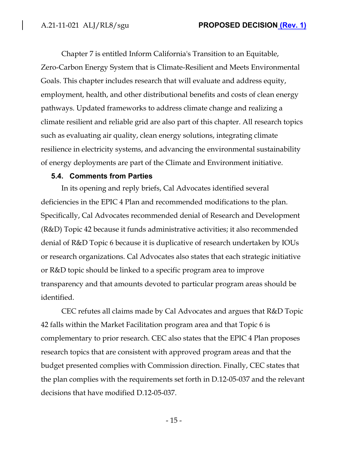Chapter 7 is entitled Inform California's Transition to an Equitable, Zero-Carbon Energy System that is Climate-Resilient and Meets Environmental Goals. This chapter includes research that will evaluate and address equity, employment, health, and other distributional benefits and costs of clean energy pathways. Updated frameworks to address climate change and realizing a climate resilient and reliable grid are also part of this chapter. All research topics such as evaluating air quality, clean energy solutions, integrating climate resilience in electricity systems, and advancing the environmental sustainability of energy deployments are part of the Climate and Environment initiative.

#### **5.4. Comments from Parties**

In its opening and reply briefs, Cal Advocates identified several deficiencies in the EPIC 4 Plan and recommended modifications to the plan. Specifically, Cal Advocates recommended denial of Research and Development (R&D) Topic 42 because it funds administrative activities; it also recommended denial of R&D Topic 6 because it is duplicative of research undertaken by IOUs or research organizations. Cal Advocates also states that each strategic initiative or R&D topic should be linked to a specific program area to improve transparency and that amounts devoted to particular program areas should be identified.

CEC refutes all claims made by Cal Advocates and argues that R&D Topic 42 falls within the Market Facilitation program area and that Topic 6 is complementary to prior research. CEC also states that the EPIC 4 Plan proposes research topics that are consistent with approved program areas and that the budget presented complies with Commission direction. Finally, CEC states that the plan complies with the requirements set forth in D.12-05-037 and the relevant decisions that have modified D.12-05-037.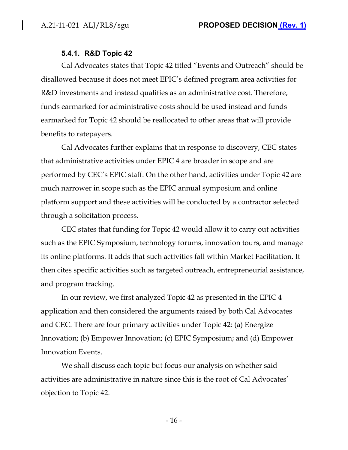#### **5.4.1. R&D Topic 42**

Cal Advocates states that Topic 42 titled "Events and Outreach" should be disallowed because it does not meet EPIC's defined program area activities for R&D investments and instead qualifies as an administrative cost. Therefore, funds earmarked for administrative costs should be used instead and funds earmarked for Topic 42 should be reallocated to other areas that will provide benefits to ratepayers.

Cal Advocates further explains that in response to discovery, CEC states that administrative activities under EPIC 4 are broader in scope and are performed by CEC's EPIC staff. On the other hand, activities under Topic 42 are much narrower in scope such as the EPIC annual symposium and online platform support and these activities will be conducted by a contractor selected through a solicitation process.

CEC states that funding for Topic 42 would allow it to carry out activities such as the EPIC Symposium, technology forums, innovation tours, and manage its online platforms. It adds that such activities fall within Market Facilitation. It then cites specific activities such as targeted outreach, entrepreneurial assistance, and program tracking.

In our review, we first analyzed Topic 42 as presented in the EPIC 4 application and then considered the arguments raised by both Cal Advocates and CEC. There are four primary activities under Topic 42: (a) Energize Innovation; (b) Empower Innovation; (c) EPIC Symposium; and (d) Empower Innovation Events.

We shall discuss each topic but focus our analysis on whether said activities are administrative in nature since this is the root of Cal Advocates' objection to Topic 42.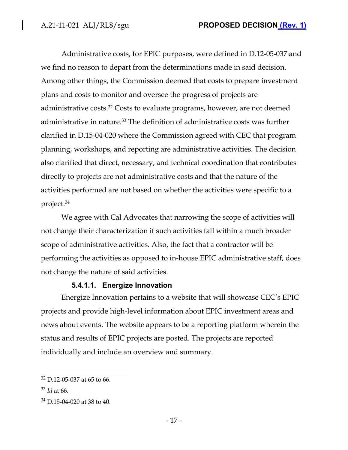Administrative costs, for EPIC purposes, were defined in D.12-05-037 and we find no reason to depart from the determinations made in said decision. Among other things, the Commission deemed that costs to prepare investment plans and costs to monitor and oversee the progress of projects are administrative costs.<sup>32</sup> Costs to evaluate programs, however, are not deemed administrative in nature.<sup>33</sup> The definition of administrative costs was further clarified in D.15-04-020 where the Commission agreed with CEC that program planning, workshops, and reporting are administrative activities. The decision also clarified that direct, necessary, and technical coordination that contributes directly to projects are not administrative costs and that the nature of the activities performed are not based on whether the activities were specific to a project.<sup>34</sup>

We agree with Cal Advocates that narrowing the scope of activities will not change their characterization if such activities fall within a much broader scope of administrative activities. Also, the fact that a contractor will be performing the activities as opposed to in-house EPIC administrative staff, does not change the nature of said activities.

### **5.4.1.1. Energize Innovation**

Energize Innovation pertains to a website that will showcase CEC's EPIC projects and provide high-level information about EPIC investment areas and news about events. The website appears to be a reporting platform wherein the status and results of EPIC projects are posted. The projects are reported individually and include an overview and summary.

 $32$  D.12-05-037 at 65 to 66.

<sup>33</sup> *Id* at 66.

<sup>34</sup> D.15-04-020 at 38 to 40.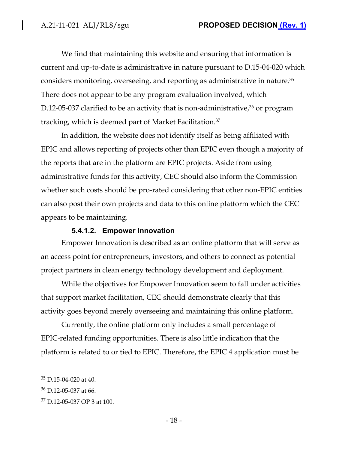We find that maintaining this website and ensuring that information is current and up-to-date is administrative in nature pursuant to D.15-04-020 which considers monitoring, overseeing, and reporting as administrative in nature.<sup>35</sup> There does not appear to be any program evaluation involved, which D.12-05-037 clarified to be an activity that is non-administrative, $36$  or program tracking, which is deemed part of Market Facilitation.<sup>37</sup>

In addition, the website does not identify itself as being affiliated with EPIC and allows reporting of projects other than EPIC even though a majority of the reports that are in the platform are EPIC projects. Aside from using administrative funds for this activity, CEC should also inform the Commission whether such costs should be pro-rated considering that other non-EPIC entities can also post their own projects and data to this online platform which the CEC appears to be maintaining.

### **5.4.1.2. Empower Innovation**

Empower Innovation is described as an online platform that will serve as an access point for entrepreneurs, investors, and others to connect as potential project partners in clean energy technology development and deployment.

While the objectives for Empower Innovation seem to fall under activities that support market facilitation, CEC should demonstrate clearly that this activity goes beyond merely overseeing and maintaining this online platform.

Currently, the online platform only includes a small percentage of EPIC-related funding opportunities. There is also little indication that the platform is related to or tied to EPIC. Therefore, the EPIC 4 application must be

 $35$  D.15-04-020 at 40.

<sup>36</sup> D.12-05-037 at 66.

<sup>37</sup> D.12-05-037 OP 3 at 100.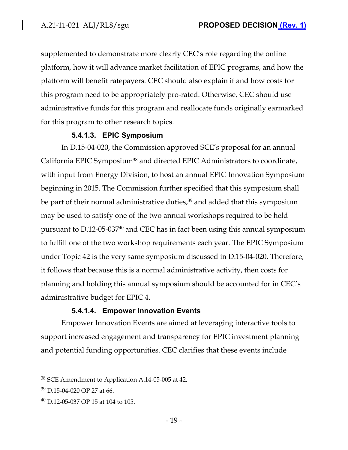supplemented to demonstrate more clearly CEC's role regarding the online platform, how it will advance market facilitation of EPIC programs, and how the platform will benefit ratepayers. CEC should also explain if and how costs for this program need to be appropriately pro-rated. Otherwise, CEC should use administrative funds for this program and reallocate funds originally earmarked for this program to other research topics.

#### **5.4.1.3. EPIC Symposium**

In D.15-04-020, the Commission approved SCE's proposal for an annual California EPIC Symposium<sup>38</sup> and directed EPIC Administrators to coordinate, with input from Energy Division, to host an annual EPIC Innovation Symposium beginning in 2015. The Commission further specified that this symposium shall be part of their normal administrative duties, $^{39}$  and added that this symposium may be used to satisfy one of the two annual workshops required to be held pursuant to D.12-05-03740 and CEC has in fact been using this annual symposium to fulfill one of the two workshop requirements each year. The EPIC Symposium under Topic 42 is the very same symposium discussed in D.15-04-020. Therefore, it follows that because this is a normal administrative activity, then costs for planning and holding this annual symposium should be accounted for in CEC's administrative budget for EPIC 4.

#### **5.4.1.4. Empower Innovation Events**

Empower Innovation Events are aimed at leveraging interactive tools to support increased engagement and transparency for EPIC investment planning and potential funding opportunities. CEC clarifies that these events include

<sup>&</sup>lt;sup>38</sup> SCE Amendment to Application A.14-05-005 at 42.

<sup>39</sup> D.15-04-020 OP 27 at 66.

 $^{40}$  D.12-05-037 OP 15 at 104 to 105.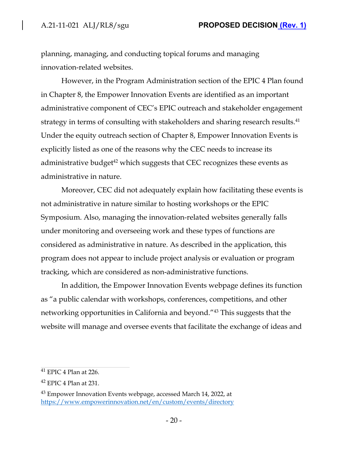planning, managing, and conducting topical forums and managing innovation-related websites.

However, in the Program Administration section of the EPIC 4 Plan found in Chapter 8, the Empower Innovation Events are identified as an important administrative component of CEC's EPIC outreach and stakeholder engagement strategy in terms of consulting with stakeholders and sharing research results.<sup>41</sup> Under the equity outreach section of Chapter 8, Empower Innovation Events is explicitly listed as one of the reasons why the CEC needs to increase its administrative budget $^{42}$  which suggests that CEC recognizes these events as administrative in nature.

Moreover, CEC did not adequately explain how facilitating these events is not administrative in nature similar to hosting workshops or the EPIC Symposium. Also, managing the innovation-related websites generally falls under monitoring and overseeing work and these types of functions are considered as administrative in nature. As described in the application, this program does not appear to include project analysis or evaluation or program tracking, which are considered as non-administrative functions.

In addition, the Empower Innovation Events webpage defines its function as "a public calendar with workshops, conferences, competitions, and other networking opportunities in California and beyond."<sup>43</sup> This suggests that the website will manage and oversee events that facilitate the exchange of ideas and

 $41$  EPIC 4 Plan at 226.

 $42$  EPIC 4 Plan at 231.

<sup>&</sup>lt;sup>43</sup> Empower Innovation Events webpage, accessed March 14, 2022, at https://www.empowerinnovation.net/en/custom/events/directory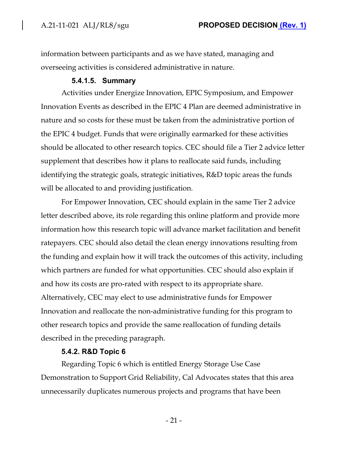information between participants and as we have stated, managing and overseeing activities is considered administrative in nature.

#### **5.4.1.5. Summary**

Activities under Energize Innovation, EPIC Symposium, and Empower Innovation Events as described in the EPIC 4 Plan are deemed administrative in nature and so costs for these must be taken from the administrative portion of the EPIC 4 budget. Funds that were originally earmarked for these activities should be allocated to other research topics. CEC should file a Tier 2 advice letter supplement that describes how it plans to reallocate said funds, including identifying the strategic goals, strategic initiatives, R&D topic areas the funds will be allocated to and providing justification.

For Empower Innovation, CEC should explain in the same Tier 2 advice letter described above, its role regarding this online platform and provide more information how this research topic will advance market facilitation and benefit ratepayers. CEC should also detail the clean energy innovations resulting from the funding and explain how it will track the outcomes of this activity, including which partners are funded for what opportunities. CEC should also explain if and how its costs are pro-rated with respect to its appropriate share. Alternatively, CEC may elect to use administrative funds for Empower Innovation and reallocate the non-administrative funding for this program to other research topics and provide the same reallocation of funding details described in the preceding paragraph.

#### **5.4.2. R&D Topic 6**

Regarding Topic 6 which is entitled Energy Storage Use Case Demonstration to Support Grid Reliability, Cal Advocates states that this area unnecessarily duplicates numerous projects and programs that have been

- 21 -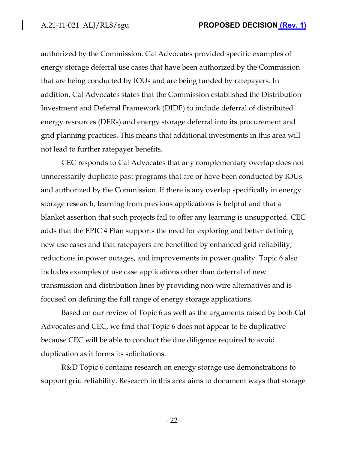authorized by the Commission. Cal Advocates provided specific examples of energy storage deferral use cases that have been authorized by the Commission that are being conducted by IOUs and are being funded by ratepayers. In addition, Cal Advocates states that the Commission established the Distribution Investment and Deferral Framework (DIDF) to include deferral of distributed energy resources (DERs) and energy storage deferral into its procurement and grid planning practices. This means that additional investments in this area will not lead to further ratepayer benefits.

CEC responds to Cal Advocates that any complementary overlap does not unnecessarily duplicate past programs that are or have been conducted by IOUs and authorized by the Commission. If there is any overlap specifically in energy storage research, learning from previous applications is helpful and that a blanket assertion that such projects fail to offer any learning is unsupported. CEC adds that the EPIC 4 Plan supports the need for exploring and better defining new use cases and that ratepayers are benefitted by enhanced grid reliability, reductions in power outages, and improvements in power quality. Topic 6 also includes examples of use case applications other than deferral of new transmission and distribution lines by providing non-wire alternatives and is focused on defining the full range of energy storage applications.

Based on our review of Topic 6 as well as the arguments raised by both Cal Advocates and CEC, we find that Topic 6 does not appear to be duplicative because CEC will be able to conduct the due diligence required to avoid duplication as it forms its solicitations.

R&D Topic 6 contains research on energy storage use demonstrations to support grid reliability. Research in this area aims to document ways that storage

- 22 -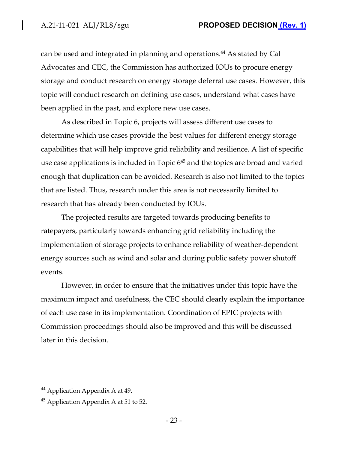can be used and integrated in planning and operations.<sup>44</sup> As stated by Cal Advocates and CEC, the Commission has authorized IOUs to procure energy storage and conduct research on energy storage deferral use cases. However, this topic will conduct research on defining use cases, understand what cases have been applied in the past, and explore new use cases.

As described in Topic 6, projects will assess different use cases to determine which use cases provide the best values for different energy storage capabilities that will help improve grid reliability and resilience. A list of specific use case applications is included in Topic  $6^{45}$  and the topics are broad and varied enough that duplication can be avoided. Research is also not limited to the topics that are listed. Thus, research under this area is not necessarily limited to research that has already been conducted by IOUs.

The projected results are targeted towards producing benefits to ratepayers, particularly towards enhancing grid reliability including the implementation of storage projects to enhance reliability of weather-dependent energy sources such as wind and solar and during public safety power shutoff events.

However, in order to ensure that the initiatives under this topic have the maximum impact and usefulness, the CEC should clearly explain the importance of each use case in its implementation. Coordination of EPIC projects with Commission proceedings should also be improved and this will be discussed later in this decision.

<sup>44</sup> Application Appendix A at 49.

<sup>45</sup> Application Appendix A at 51 to 52.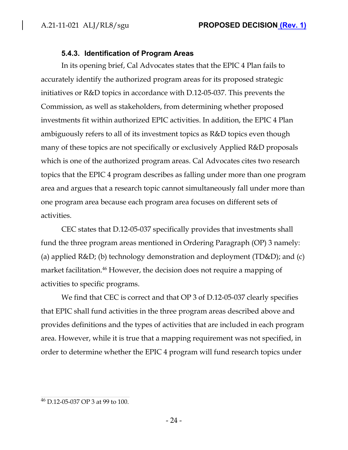### **5.4.3. Identification of Program Areas**

In its opening brief, Cal Advocates states that the EPIC 4 Plan fails to accurately identify the authorized program areas for its proposed strategic initiatives or R&D topics in accordance with D.12-05-037. This prevents the Commission, as well as stakeholders, from determining whether proposed investments fit within authorized EPIC activities. In addition, the EPIC 4 Plan ambiguously refers to all of its investment topics as R&D topics even though many of these topics are not specifically or exclusively Applied R&D proposals which is one of the authorized program areas. Cal Advocates cites two research topics that the EPIC 4 program describes as falling under more than one program area and argues that a research topic cannot simultaneously fall under more than one program area because each program area focuses on different sets of activities.

CEC states that D.12-05-037 specifically provides that investments shall fund the three program areas mentioned in Ordering Paragraph (OP) 3 namely: (a) applied R&D; (b) technology demonstration and deployment (TD&D); and (c) market facilitation.<sup>46</sup> However, the decision does not require a mapping of activities to specific programs.

We find that CEC is correct and that OP 3 of D.12-05-037 clearly specifies that EPIC shall fund activities in the three program areas described above and provides definitions and the types of activities that are included in each program area. However, while it is true that a mapping requirement was not specified, in order to determine whether the EPIC 4 program will fund research topics under

<sup>46</sup> D.12-05-037 OP 3 at 99 to 100.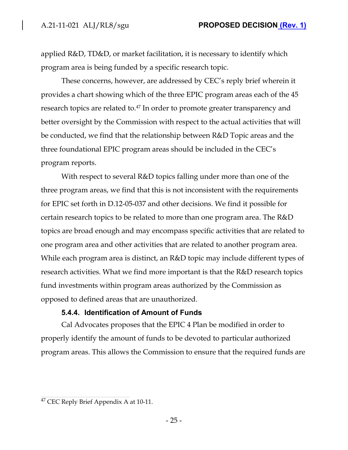applied R&D, TD&D, or market facilitation, it is necessary to identify which program area is being funded by a specific research topic.

These concerns, however, are addressed by CEC's reply brief wherein it provides a chart showing which of the three EPIC program areas each of the 45 research topics are related to.<sup>47</sup> In order to promote greater transparency and better oversight by the Commission with respect to the actual activities that will be conducted, we find that the relationship between R&D Topic areas and the three foundational EPIC program areas should be included in the CEC's program reports.

With respect to several R&D topics falling under more than one of the three program areas, we find that this is not inconsistent with the requirements for EPIC set forth in D.12-05-037 and other decisions. We find it possible for certain research topics to be related to more than one program area. The R&D topics are broad enough and may encompass specific activities that are related to one program area and other activities that are related to another program area. While each program area is distinct, an R&D topic may include different types of research activities. What we find more important is that the R&D research topics fund investments within program areas authorized by the Commission as opposed to defined areas that are unauthorized.

#### **5.4.4. Identification of Amount of Funds**

Cal Advocates proposes that the EPIC 4 Plan be modified in order to properly identify the amount of funds to be devoted to particular authorized program areas. This allows the Commission to ensure that the required funds are

<sup>47</sup> CEC Reply Brief Appendix A at 10-11.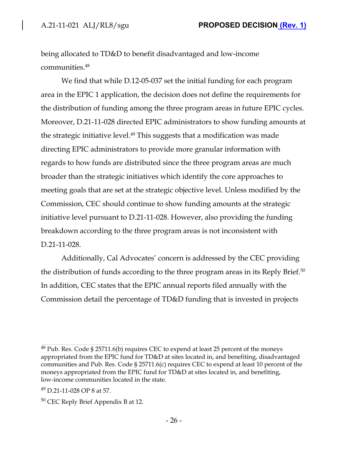being allocated to TD&D to benefit disadvantaged and low-income communities.<sup>48</sup>

We find that while D.12-05-037 set the initial funding for each program area in the EPIC 1 application, the decision does not define the requirements for the distribution of funding among the three program areas in future EPIC cycles. Moreover, D.21-11-028 directed EPIC administrators to show funding amounts at the strategic initiative level.<sup>49</sup> This suggests that a modification was made directing EPIC administrators to provide more granular information with regards to how funds are distributed since the three program areas are much broader than the strategic initiatives which identify the core approaches to meeting goals that are set at the strategic objective level. Unless modified by the Commission, CEC should continue to show funding amounts at the strategic initiative level pursuant to D.21-11-028. However, also providing the funding breakdown according to the three program areas is not inconsistent with D.21-11-028.

Additionally, Cal Advocates' concern is addressed by the CEC providing the distribution of funds according to the three program areas in its Reply Brief.<sup>50</sup> In addition, CEC states that the EPIC annual reports filed annually with the Commission detail the percentage of TD&D funding that is invested in projects

 $48$  Pub. Res. Code § 25711.6(b) requires CEC to expend at least 25 percent of the moneys appropriated from the EPIC fund for TD&D at sites located in, and benefiting, disadvantaged communities and Pub. Res. Code § 25711.6(c) requires CEC to expend at least 10 percent of the moneys appropriated from the EPIC fund for TD&D at sites located in, and benefiting, low-income communities located in the state.

<sup>49</sup> D.21-11-028 OP 8 at 57.

<sup>50</sup> CEC Reply Brief Appendix B at 12.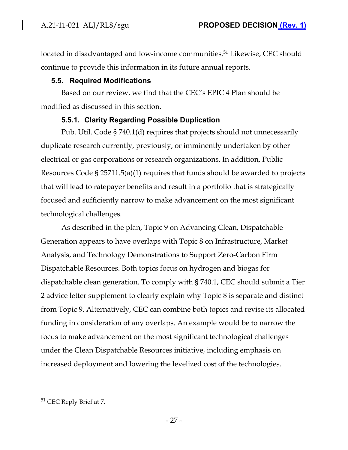located in disadvantaged and low-income communities.<sup>51</sup> Likewise, CEC should continue to provide this information in its future annual reports.

### **5.5. Required Modifications**

Based on our review, we find that the CEC's EPIC 4 Plan should be modified as discussed in this section.

# **5.5.1. Clarity Regarding Possible Duplication**

Pub. Util. Code § 740.1(d) requires that projects should not unnecessarily duplicate research currently, previously, or imminently undertaken by other electrical or gas corporations or research organizations. In addition, Public Resources Code § 25711.5(a)(1) requires that funds should be awarded to projects that will lead to ratepayer benefits and result in a portfolio that is strategically focused and sufficiently narrow to make advancement on the most significant technological challenges.

As described in the plan, Topic 9 on Advancing Clean, Dispatchable Generation appears to have overlaps with Topic 8 on Infrastructure, Market Analysis, and Technology Demonstrations to Support Zero-Carbon Firm Dispatchable Resources. Both topics focus on hydrogen and biogas for dispatchable clean generation. To comply with § 740.1, CEC should submit a Tier 2 advice letter supplement to clearly explain why Topic 8 is separate and distinct from Topic 9. Alternatively, CEC can combine both topics and revise its allocated funding in consideration of any overlaps. An example would be to narrow the focus to make advancement on the most significant technological challenges under the Clean Dispatchable Resources initiative, including emphasis on increased deployment and lowering the levelized cost of the technologies.

<sup>&</sup>lt;sup>51</sup> CEC Reply Brief at 7.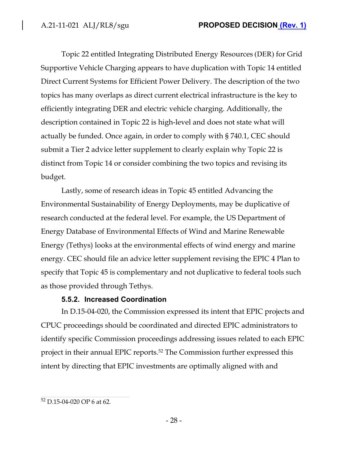Topic 22 entitled Integrating Distributed Energy Resources (DER) for Grid Supportive Vehicle Charging appears to have duplication with Topic 14 entitled Direct Current Systems for Efficient Power Delivery. The description of the two topics has many overlaps as direct current electrical infrastructure is the key to efficiently integrating DER and electric vehicle charging. Additionally, the description contained in Topic 22 is high-level and does not state what will actually be funded. Once again, in order to comply with § 740.1, CEC should submit a Tier 2 advice letter supplement to clearly explain why Topic 22 is distinct from Topic 14 or consider combining the two topics and revising its budget.

Lastly, some of research ideas in Topic 45 entitled Advancing the Environmental Sustainability of Energy Deployments, may be duplicative of research conducted at the federal level. For example, the US Department of Energy Database of Environmental Effects of Wind and Marine Renewable Energy (Tethys) looks at the environmental effects of wind energy and marine energy. CEC should file an advice letter supplement revising the EPIC 4 Plan to specify that Topic 45 is complementary and not duplicative to federal tools such as those provided through Tethys.

# **5.5.2. Increased Coordination**

In D.15-04-020, the Commission expressed its intent that EPIC projects and CPUC proceedings should be coordinated and directed EPIC administrators to identify specific Commission proceedings addressing issues related to each EPIC project in their annual EPIC reports.<sup>52</sup> The Commission further expressed this intent by directing that EPIC investments are optimally aligned with and

<sup>52</sup> D.15-04-020 OP 6 at 62.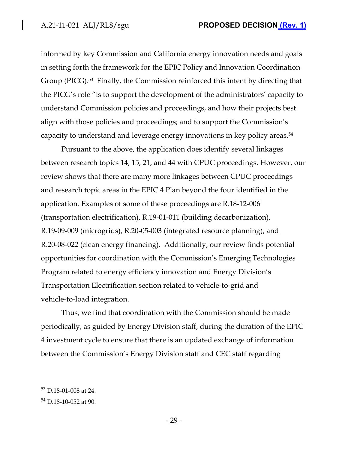informed by key Commission and California energy innovation needs and goals in setting forth the framework for the EPIC Policy and Innovation Coordination Group (PICG).<sup>53</sup> Finally, the Commission reinforced this intent by directing that the PICG's role "is to support the development of the administrators' capacity to understand Commission policies and proceedings, and how their projects best align with those policies and proceedings; and to support the Commission's capacity to understand and leverage energy innovations in key policy areas.<sup>54</sup>

Pursuant to the above, the application does identify several linkages between research topics 14, 15, 21, and 44 with CPUC proceedings. However, our review shows that there are many more linkages between CPUC proceedings and research topic areas in the EPIC 4 Plan beyond the four identified in the application. Examples of some of these proceedings are R.18-12-006 (transportation electrification), R.19-01-011 (building decarbonization), R.19-09-009 (microgrids), R.20-05-003 (integrated resource planning), and R.20-08-022 (clean energy financing). Additionally, our review finds potential opportunities for coordination with the Commission's Emerging Technologies Program related to energy efficiency innovation and Energy Division's Transportation Electrification section related to vehicle-to-grid and vehicle-to-load integration.

Thus, we find that coordination with the Commission should be made periodically, as guided by Energy Division staff, during the duration of the EPIC 4 investment cycle to ensure that there is an updated exchange of information between the Commission's Energy Division staff and CEC staff regarding

<sup>53</sup> D.18-01-008 at 24.

 $54$  D.18-10-052 at 90.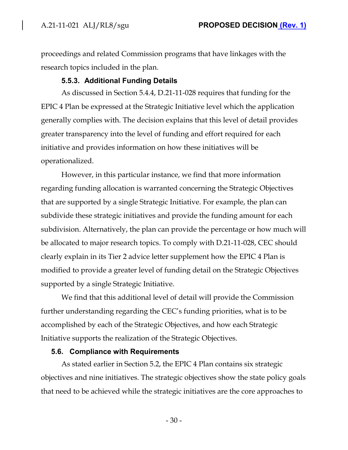proceedings and related Commission programs that have linkages with the research topics included in the plan.

### **5.5.3. Additional Funding Details**

As discussed in Section 5.4.4, D.21-11-028 requires that funding for the EPIC 4 Plan be expressed at the Strategic Initiative level which the application generally complies with. The decision explains that this level of detail provides greater transparency into the level of funding and effort required for each initiative and provides information on how these initiatives will be operationalized.

However, in this particular instance, we find that more information regarding funding allocation is warranted concerning the Strategic Objectives that are supported by a single Strategic Initiative. For example, the plan can subdivide these strategic initiatives and provide the funding amount for each subdivision. Alternatively, the plan can provide the percentage or how much will be allocated to major research topics. To comply with D.21-11-028, CEC should clearly explain in its Tier 2 advice letter supplement how the EPIC 4 Plan is modified to provide a greater level of funding detail on the Strategic Objectives supported by a single Strategic Initiative.

We find that this additional level of detail will provide the Commission further understanding regarding the CEC's funding priorities, what is to be accomplished by each of the Strategic Objectives, and how each Strategic Initiative supports the realization of the Strategic Objectives.

#### **5.6. Compliance with Requirements**

As stated earlier in Section 5.2, the EPIC 4 Plan contains six strategic objectives and nine initiatives. The strategic objectives show the state policy goals that need to be achieved while the strategic initiatives are the core approaches to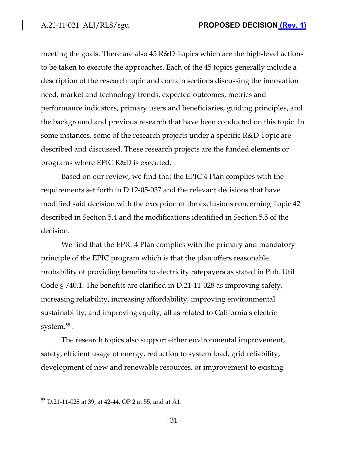meeting the goals. There are also 45 R&D Topics which are the high-level actions to be taken to execute the approaches. Each of the 45 topics generally include a description of the research topic and contain sections discussing the innovation need, market and technology trends, expected outcomes, metrics and performance indicators, primary users and beneficiaries, guiding principles, and the background and previous research that have been conducted on this topic. In some instances, some of the research projects under a specific R&D Topic are described and discussed. These research projects are the funded elements or programs where EPIC R&D is executed.

Based on our review, we find that the EPIC 4 Plan complies with the requirements set forth in D.12-05-037 and the relevant decisions that have modified said decision with the exception of the exclusions concerning Topic 42 described in Section 5.4 and the modifications identified in Section 5.5 of the decision.

We find that the EPIC 4 Plan complies with the primary and mandatory principle of the EPIC program which is that the plan offers reasonable probability of providing benefits to electricity ratepayers as stated in Pub. Util Code § 740.1. The benefits are clarified in D.21-11-028 as improving safety, increasing reliability, increasing affordability, improving environmental sustainability, and improving equity, all as related to California's electric system. $^{55}$  .

The research topics also support either environmental improvement, safety, efficient usage of energy, reduction to system load, grid reliability, development of new and renewable resources, or improvement to existing

<sup>55</sup> D.21-11-028 at 39, at 42-44, OP 2 at 55, and at A1.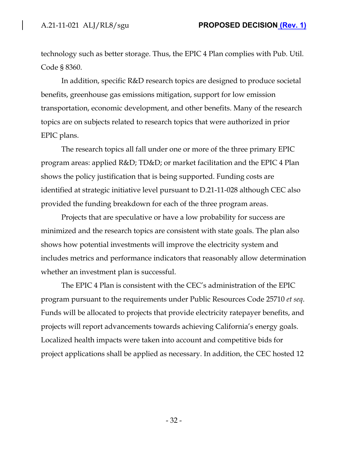technology such as better storage. Thus, the EPIC 4 Plan complies with Pub. Util. Code § 8360.

In addition, specific R&D research topics are designed to produce societal benefits, greenhouse gas emissions mitigation, support for low emission transportation, economic development, and other benefits. Many of the research topics are on subjects related to research topics that were authorized in prior EPIC plans.

The research topics all fall under one or more of the three primary EPIC program areas: applied R&D; TD&D; or market facilitation and the EPIC 4 Plan shows the policy justification that is being supported. Funding costs are identified at strategic initiative level pursuant to D.21-11-028 although CEC also provided the funding breakdown for each of the three program areas.

Projects that are speculative or have a low probability for success are minimized and the research topics are consistent with state goals. The plan also shows how potential investments will improve the electricity system and includes metrics and performance indicators that reasonably allow determination whether an investment plan is successful.

The EPIC 4 Plan is consistent with the CEC's administration of the EPIC program pursuant to the requirements under Public Resources Code 25710 *et seq*. Funds will be allocated to projects that provide electricity ratepayer benefits, and projects will report advancements towards achieving California's energy goals. Localized health impacts were taken into account and competitive bids for project applications shall be applied as necessary. In addition, the CEC hosted 12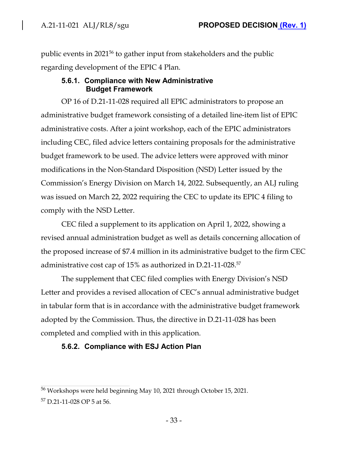public events in 2021<sup>56</sup> to gather input from stakeholders and the public regarding development of the EPIC 4 Plan.

### **5.6.1. Compliance with New Administrative Budget Framework**

OP 16 of D.21-11-028 required all EPIC administrators to propose an administrative budget framework consisting of a detailed line-item list of EPIC administrative costs. After a joint workshop, each of the EPIC administrators including CEC, filed advice letters containing proposals for the administrative budget framework to be used. The advice letters were approved with minor modifications in the Non-Standard Disposition (NSD) Letter issued by the Commission's Energy Division on March 14, 2022. Subsequently, an ALJ ruling was issued on March 22, 2022 requiring the CEC to update its EPIC 4 filing to comply with the NSD Letter.

CEC filed a supplement to its application on April 1, 2022, showing a revised annual administration budget as well as details concerning allocation of the proposed increase of \$7.4 million in its administrative budget to the firm CEC administrative cost cap of 15% as authorized in D.21-11-028.<sup>57</sup>

The supplement that CEC filed complies with Energy Division's NSD Letter and provides a revised allocation of CEC's annual administrative budget in tabular form that is in accordance with the administrative budget framework adopted by the Commission. Thus, the directive in D.21-11-028 has been completed and complied with in this application.

# **5.6.2. Compliance with ESJ Action Plan**

<sup>56</sup> Workshops were held beginning May 10, 2021 through October 15, 2021.

<sup>57</sup> D.21-11-028 OP 5 at 56.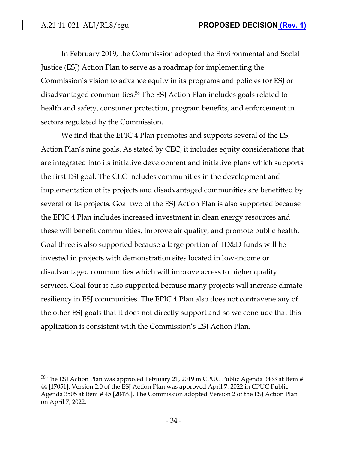In February 2019, the Commission adopted the Environmental and Social Justice (ESJ) Action Plan to serve as a roadmap for implementing the Commission's vision to advance equity in its programs and policies for ESJ or disadvantaged communities.<sup>58</sup> The ESJ Action Plan includes goals related to health and safety, consumer protection, program benefits, and enforcement in sectors regulated by the Commission.

We find that the EPIC 4 Plan promotes and supports several of the ESJ Action Plan's nine goals. As stated by CEC, it includes equity considerations that are integrated into its initiative development and initiative plans which supports the first ESJ goal. The CEC includes communities in the development and implementation of its projects and disadvantaged communities are benefitted by several of its projects. Goal two of the ESJ Action Plan is also supported because the EPIC 4 Plan includes increased investment in clean energy resources and these will benefit communities, improve air quality, and promote public health. Goal three is also supported because a large portion of TD&D funds will be invested in projects with demonstration sites located in low-income or disadvantaged communities which will improve access to higher quality services. Goal four is also supported because many projects will increase climate resiliency in ESJ communities. The EPIC 4 Plan also does not contravene any of the other ESJ goals that it does not directly support and so we conclude that this application is consistent with the Commission's ESJ Action Plan.

<sup>&</sup>lt;sup>58</sup> The ESJ Action Plan was approved February 21, 2019 in CPUC Public Agenda 3433 at Item # 44 [17051]. Version 2.0 of the ESJ Action Plan was approved April 7, 2022 in CPUC Public Agenda 3505 at Item # 45 [20479]. The Commission adopted Version 2 of the ESJ Action Plan on April 7, 2022.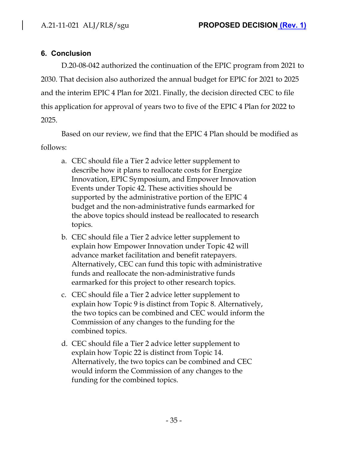# **6. Conclusion**

D.20-08-042 authorized the continuation of the EPIC program from 2021 to 2030. That decision also authorized the annual budget for EPIC for 2021 to 2025 and the interim EPIC 4 Plan for 2021. Finally, the decision directed CEC to file this application for approval of years two to five of the EPIC 4 Plan for 2022 to 2025.

Based on our review, we find that the EPIC 4 Plan should be modified as follows:

- a. CEC should file a Tier 2 advice letter supplement to describe how it plans to reallocate costs for Energize Innovation, EPIC Symposium, and Empower Innovation Events under Topic 42. These activities should be supported by the administrative portion of the EPIC 4 budget and the non-administrative funds earmarked for the above topics should instead be reallocated to research topics.
- b. CEC should file a Tier 2 advice letter supplement to explain how Empower Innovation under Topic 42 will advance market facilitation and benefit ratepayers. Alternatively, CEC can fund this topic with administrative funds and reallocate the non-administrative funds earmarked for this project to other research topics.
- c. CEC should file a Tier 2 advice letter supplement to explain how Topic 9 is distinct from Topic 8. Alternatively, the two topics can be combined and CEC would inform the Commission of any changes to the funding for the combined topics.
- d. CEC should file a Tier 2 advice letter supplement to explain how Topic 22 is distinct from Topic 14. Alternatively, the two topics can be combined and CEC would inform the Commission of any changes to the funding for the combined topics.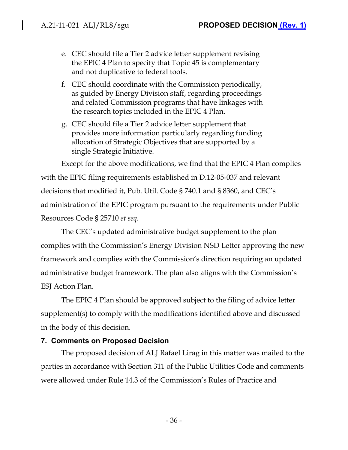- e. CEC should file a Tier 2 advice letter supplement revising the EPIC 4 Plan to specify that Topic 45 is complementary and not duplicative to federal tools.
- f. CEC should coordinate with the Commission periodically, as guided by Energy Division staff, regarding proceedings and related Commission programs that have linkages with the research topics included in the EPIC 4 Plan.
- g. CEC should file a Tier 2 advice letter supplement that provides more information particularly regarding funding allocation of Strategic Objectives that are supported by a single Strategic Initiative.

Except for the above modifications, we find that the EPIC 4 Plan complies with the EPIC filing requirements established in D.12-05-037 and relevant decisions that modified it, Pub. Util. Code § 740.1 and § 8360, and CEC's administration of the EPIC program pursuant to the requirements under Public Resources Code § 25710 *et seq*.

The CEC's updated administrative budget supplement to the plan complies with the Commission's Energy Division NSD Letter approving the new framework and complies with the Commission's direction requiring an updated administrative budget framework. The plan also aligns with the Commission's ESJ Action Plan.

The EPIC 4 Plan should be approved subject to the filing of advice letter supplement(s) to comply with the modifications identified above and discussed in the body of this decision.

# **7. Comments on Proposed Decision**

The proposed decision of ALJ Rafael Lirag in this matter was mailed to the parties in accordance with Section 311 of the Public Utilities Code and comments were allowed under Rule 14.3 of the Commission's Rules of Practice and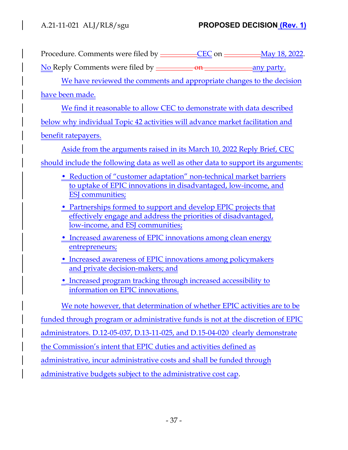Procedure. Comments were filed by \_\_\_\_\_\_\_\_\_\_CEC on \_\_\_\_\_\_\_\_\_May 18, 2022.

No Reply Comments were filed by \_\_\_\_\_\_\_\_\_\_ on \_\_\_\_\_\_\_\_\_\_\_\_\_any party.

We have reviewed the comments and appropriate changes to the decision

have been made.

We find it reasonable to allow CEC to demonstrate with data described below why individual Topic 42 activities will advance market facilitation and benefit ratepayers.

Aside from the arguments raised in its March 10, 2022 Reply Brief, CEC should include the following data as well as other data to support its arguments:

- Reduction of "customer adaptation" non-technical market barriers to uptake of EPIC innovations in disadvantaged, low-income, and ESJ communities;
- Partnerships formed to support and develop EPIC projects that effectively engage and address the priorities of disadvantaged, low-income, and ESJ communities;
- Increased awareness of EPIC innovations among clean energy entrepreneurs;
- Increased awareness of EPIC innovations among policymakers and private decision-makers; and
- Increased program tracking through increased accessibility to information on EPIC innovations.

We note however, that determination of whether EPIC activities are to be

funded through program or administrative funds is not at the discretion of EPIC

administrators. D.12-05-037, D.13-11-025, and D.15-04-020 clearly demonstrate

the Commission's intent that EPIC duties and activities defined as

administrative, incur administrative costs and shall be funded through

administrative budgets subject to the administrative cost cap.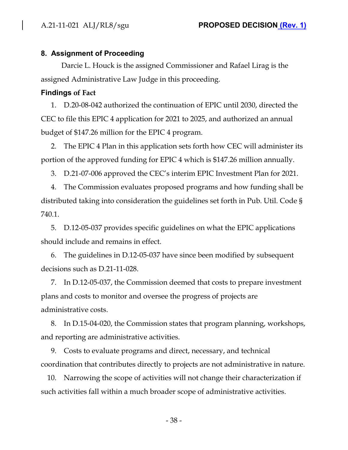#### **8. Assignment of Proceeding**

Darcie L. Houck is the assigned Commissioner and Rafael Lirag is the assigned Administrative Law Judge in this proceeding.

#### **Findings of Fact**

1. D.20-08-042 authorized the continuation of EPIC until 2030, directed the CEC to file this EPIC 4 application for 2021 to 2025, and authorized an annual budget of \$147.26 million for the EPIC 4 program.

2. The EPIC 4 Plan in this application sets forth how CEC will administer its portion of the approved funding for EPIC 4 which is \$147.26 million annually.

3. D.21-07-006 approved the CEC's interim EPIC Investment Plan for 2021.

4. The Commission evaluates proposed programs and how funding shall be distributed taking into consideration the guidelines set forth in Pub. Util. Code § 740.1.

5. D.12-05-037 provides specific guidelines on what the EPIC applications should include and remains in effect.

6. The guidelines in D.12-05-037 have since been modified by subsequent decisions such as D.21-11-028.

7. In D.12-05-037, the Commission deemed that costs to prepare investment plans and costs to monitor and oversee the progress of projects are administrative costs.

8. In D.15-04-020, the Commission states that program planning, workshops, and reporting are administrative activities.

9. Costs to evaluate programs and direct, necessary, and technical coordination that contributes directly to projects are not administrative in nature.

10. Narrowing the scope of activities will not change their characterization if such activities fall within a much broader scope of administrative activities.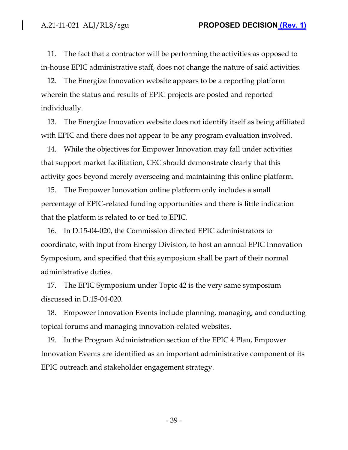11. The fact that a contractor will be performing the activities as opposed to in-house EPIC administrative staff, does not change the nature of said activities.

12. The Energize Innovation website appears to be a reporting platform wherein the status and results of EPIC projects are posted and reported individually.

13. The Energize Innovation website does not identify itself as being affiliated with EPIC and there does not appear to be any program evaluation involved.

14. While the objectives for Empower Innovation may fall under activities that support market facilitation, CEC should demonstrate clearly that this activity goes beyond merely overseeing and maintaining this online platform.

15. The Empower Innovation online platform only includes a small percentage of EPIC-related funding opportunities and there is little indication that the platform is related to or tied to EPIC.

16. In D.15-04-020, the Commission directed EPIC administrators to coordinate, with input from Energy Division, to host an annual EPIC Innovation Symposium, and specified that this symposium shall be part of their normal administrative duties.

17. The EPIC Symposium under Topic 42 is the very same symposium discussed in D.15-04-020.

18. Empower Innovation Events include planning, managing, and conducting topical forums and managing innovation-related websites.

19. In the Program Administration section of the EPIC 4 Plan, Empower Innovation Events are identified as an important administrative component of its EPIC outreach and stakeholder engagement strategy.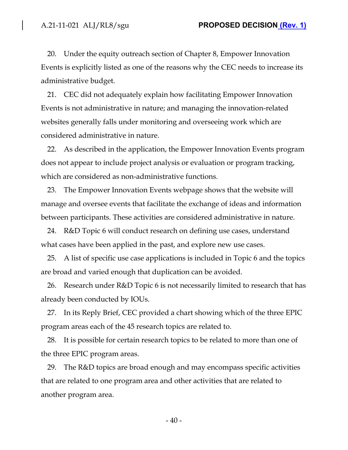20. Under the equity outreach section of Chapter 8, Empower Innovation Events is explicitly listed as one of the reasons why the CEC needs to increase its administrative budget.

21. CEC did not adequately explain how facilitating Empower Innovation Events is not administrative in nature; and managing the innovation-related websites generally falls under monitoring and overseeing work which are considered administrative in nature.

22. As described in the application, the Empower Innovation Events program does not appear to include project analysis or evaluation or program tracking, which are considered as non-administrative functions.

23. The Empower Innovation Events webpage shows that the website will manage and oversee events that facilitate the exchange of ideas and information between participants. These activities are considered administrative in nature.

24. R&D Topic 6 will conduct research on defining use cases, understand what cases have been applied in the past, and explore new use cases.

25. A list of specific use case applications is included in Topic 6 and the topics are broad and varied enough that duplication can be avoided.

26. Research under R&D Topic 6 is not necessarily limited to research that has already been conducted by IOUs.

27. In its Reply Brief, CEC provided a chart showing which of the three EPIC program areas each of the 45 research topics are related to.

28. It is possible for certain research topics to be related to more than one of the three EPIC program areas.

29. The R&D topics are broad enough and may encompass specific activities that are related to one program area and other activities that are related to another program area.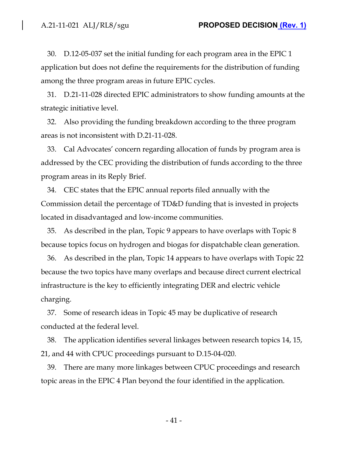30. D.12-05-037 set the initial funding for each program area in the EPIC 1 application but does not define the requirements for the distribution of funding among the three program areas in future EPIC cycles.

31. D.21-11-028 directed EPIC administrators to show funding amounts at the strategic initiative level.

32. Also providing the funding breakdown according to the three program areas is not inconsistent with D.21-11-028.

33. Cal Advocates' concern regarding allocation of funds by program area is addressed by the CEC providing the distribution of funds according to the three program areas in its Reply Brief.

34. CEC states that the EPIC annual reports filed annually with the Commission detail the percentage of TD&D funding that is invested in projects located in disadvantaged and low-income communities.

35. As described in the plan, Topic 9 appears to have overlaps with Topic 8 because topics focus on hydrogen and biogas for dispatchable clean generation.

36. As described in the plan, Topic 14 appears to have overlaps with Topic 22 because the two topics have many overlaps and because direct current electrical infrastructure is the key to efficiently integrating DER and electric vehicle charging.

37. Some of research ideas in Topic 45 may be duplicative of research conducted at the federal level.

38. The application identifies several linkages between research topics 14, 15, 21, and 44 with CPUC proceedings pursuant to D.15-04-020.

39. There are many more linkages between CPUC proceedings and research topic areas in the EPIC 4 Plan beyond the four identified in the application.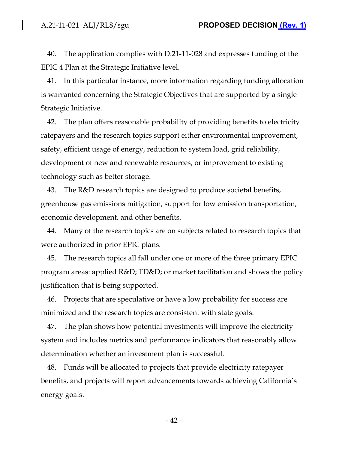40. The application complies with D.21-11-028 and expresses funding of the EPIC 4 Plan at the Strategic Initiative level.

41. In this particular instance, more information regarding funding allocation is warranted concerning the Strategic Objectives that are supported by a single Strategic Initiative.

42. The plan offers reasonable probability of providing benefits to electricity ratepayers and the research topics support either environmental improvement, safety, efficient usage of energy, reduction to system load, grid reliability, development of new and renewable resources, or improvement to existing technology such as better storage.

43. The R&D research topics are designed to produce societal benefits, greenhouse gas emissions mitigation, support for low emission transportation, economic development, and other benefits.

44. Many of the research topics are on subjects related to research topics that were authorized in prior EPIC plans.

45. The research topics all fall under one or more of the three primary EPIC program areas: applied R&D; TD&D; or market facilitation and shows the policy justification that is being supported.

46. Projects that are speculative or have a low probability for success are minimized and the research topics are consistent with state goals.

47. The plan shows how potential investments will improve the electricity system and includes metrics and performance indicators that reasonably allow determination whether an investment plan is successful.

48. Funds will be allocated to projects that provide electricity ratepayer benefits, and projects will report advancements towards achieving California's energy goals.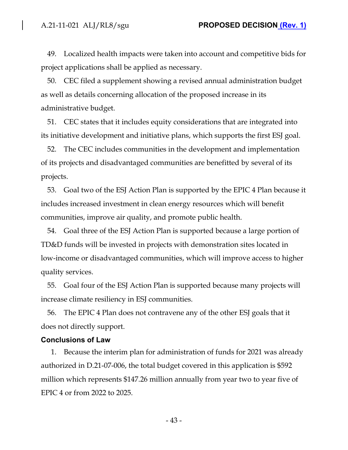49. Localized health impacts were taken into account and competitive bids for project applications shall be applied as necessary.

50. CEC filed a supplement showing a revised annual administration budget as well as details concerning allocation of the proposed increase in its administrative budget.

51. CEC states that it includes equity considerations that are integrated into its initiative development and initiative plans, which supports the first ESJ goal.

52. The CEC includes communities in the development and implementation of its projects and disadvantaged communities are benefitted by several of its projects.

53. Goal two of the ESJ Action Plan is supported by the EPIC 4 Plan because it includes increased investment in clean energy resources which will benefit communities, improve air quality, and promote public health.

54. Goal three of the ESJ Action Plan is supported because a large portion of TD&D funds will be invested in projects with demonstration sites located in low-income or disadvantaged communities, which will improve access to higher quality services.

55. Goal four of the ESJ Action Plan is supported because many projects will increase climate resiliency in ESJ communities.

56. The EPIC 4 Plan does not contravene any of the other ESJ goals that it does not directly support.

#### **Conclusions of Law**

1. Because the interim plan for administration of funds for 2021 was already authorized in D.21-07-006, the total budget covered in this application is \$592 million which represents \$147.26 million annually from year two to year five of EPIC 4 or from 2022 to 2025.

- 43 -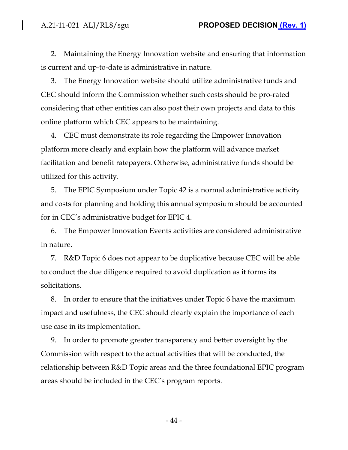2. Maintaining the Energy Innovation website and ensuring that information is current and up-to-date is administrative in nature.

3. The Energy Innovation website should utilize administrative funds and CEC should inform the Commission whether such costs should be pro-rated considering that other entities can also post their own projects and data to this online platform which CEC appears to be maintaining.

4. CEC must demonstrate its role regarding the Empower Innovation platform more clearly and explain how the platform will advance market facilitation and benefit ratepayers. Otherwise, administrative funds should be utilized for this activity.

5. The EPIC Symposium under Topic 42 is a normal administrative activity and costs for planning and holding this annual symposium should be accounted for in CEC's administrative budget for EPIC 4.

6. The Empower Innovation Events activities are considered administrative in nature.

7. R&D Topic 6 does not appear to be duplicative because CEC will be able to conduct the due diligence required to avoid duplication as it forms its solicitations.

8. In order to ensure that the initiatives under Topic 6 have the maximum impact and usefulness, the CEC should clearly explain the importance of each use case in its implementation.

9. In order to promote greater transparency and better oversight by the Commission with respect to the actual activities that will be conducted, the relationship between R&D Topic areas and the three foundational EPIC program areas should be included in the CEC's program reports.

- 44 -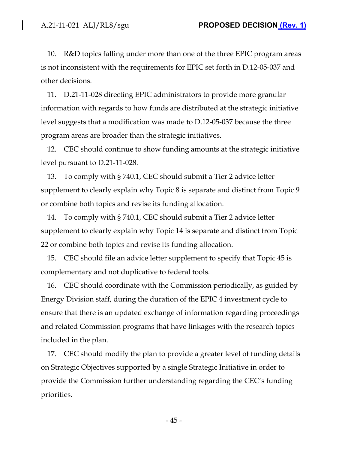10. R&D topics falling under more than one of the three EPIC program areas is not inconsistent with the requirements for EPIC set forth in D.12-05-037 and other decisions.

11. D.21-11-028 directing EPIC administrators to provide more granular information with regards to how funds are distributed at the strategic initiative level suggests that a modification was made to D.12-05-037 because the three program areas are broader than the strategic initiatives.

12. CEC should continue to show funding amounts at the strategic initiative level pursuant to D.21-11-028.

13. To comply with § 740.1, CEC should submit a Tier 2 advice letter supplement to clearly explain why Topic 8 is separate and distinct from Topic 9 or combine both topics and revise its funding allocation.

14. To comply with § 740.1, CEC should submit a Tier 2 advice letter supplement to clearly explain why Topic 14 is separate and distinct from Topic 22 or combine both topics and revise its funding allocation.

15. CEC should file an advice letter supplement to specify that Topic 45 is complementary and not duplicative to federal tools.

16. CEC should coordinate with the Commission periodically, as guided by Energy Division staff, during the duration of the EPIC 4 investment cycle to ensure that there is an updated exchange of information regarding proceedings and related Commission programs that have linkages with the research topics included in the plan.

17. CEC should modify the plan to provide a greater level of funding details on Strategic Objectives supported by a single Strategic Initiative in order to provide the Commission further understanding regarding the CEC's funding priorities.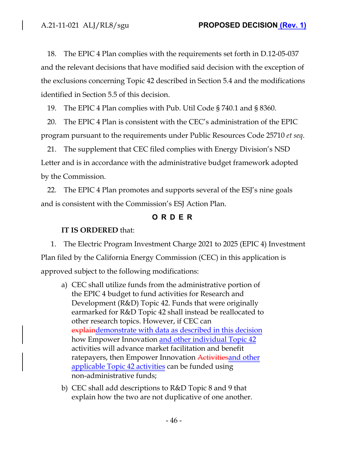18. The EPIC 4 Plan complies with the requirements set forth in D.12-05-037 and the relevant decisions that have modified said decision with the exception of the exclusions concerning Topic 42 described in Section 5.4 and the modifications identified in Section 5.5 of this decision.

19. The EPIC 4 Plan complies with Pub. Util Code § 740.1 and § 8360.

20. The EPIC 4 Plan is consistent with the CEC's administration of the EPIC program pursuant to the requirements under Public Resources Code 25710 *et seq*.

21. The supplement that CEC filed complies with Energy Division's NSD Letter and is in accordance with the administrative budget framework adopted by the Commission.

22. The EPIC 4 Plan promotes and supports several of the ESJ's nine goals and is consistent with the Commission's ESJ Action Plan.

# **ORDER**

### **IT IS ORDERED** that:

1. The Electric Program Investment Charge 2021 to 2025 (EPIC 4) Investment Plan filed by the California Energy Commission (CEC) in this application is approved subject to the following modifications:

- a) CEC shall utilize funds from the administrative portion of the EPIC 4 budget to fund activities for Research and Development (R&D) Topic 42. Funds that were originally earmarked for R&D Topic 42 shall instead be reallocated to other research topics. However, if CEC can explaindemonstrate with data as described in this decision how Empower Innovation and other individual Topic 42 activities will advance market facilitation and benefit ratepayers, then Empower Innovation Activities and other applicable Topic 42 activities can be funded using non-administrative funds;
- b) CEC shall add descriptions to R&D Topic 8 and 9 that explain how the two are not duplicative of one another.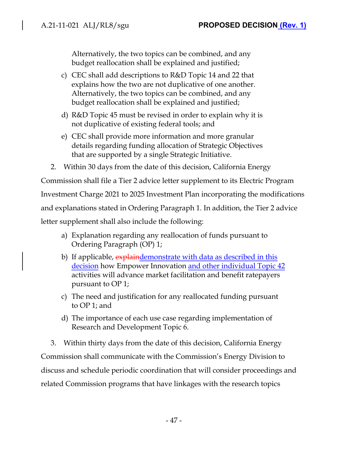Alternatively, the two topics can be combined, and any budget reallocation shall be explained and justified;

- c) CEC shall add descriptions to R&D Topic 14 and 22 that explains how the two are not duplicative of one another. Alternatively, the two topics can be combined, and any budget reallocation shall be explained and justified;
- d) R&D Topic 45 must be revised in order to explain why it is not duplicative of existing federal tools; and
- e) CEC shall provide more information and more granular details regarding funding allocation of Strategic Objectives that are supported by a single Strategic Initiative.
- 2. Within 30 days from the date of this decision, California Energy

Commission shall file a Tier 2 advice letter supplement to its Electric Program Investment Charge 2021 to 2025 Investment Plan incorporating the modifications and explanations stated in Ordering Paragraph 1. In addition, the Tier 2 advice letter supplement shall also include the following:

- a) Explanation regarding any reallocation of funds pursuant to Ordering Paragraph (OP) 1;
- b) If applicable, explaindemonstrate with data as described in this decision how Empower Innovation and other individual Topic 42 activities will advance market facilitation and benefit ratepayers pursuant to OP 1;
- c) The need and justification for any reallocated funding pursuant to OP 1; and
- d) The importance of each use case regarding implementation of Research and Development Topic 6.

3. Within thirty days from the date of this decision, California Energy Commission shall communicate with the Commission's Energy Division to discuss and schedule periodic coordination that will consider proceedings and related Commission programs that have linkages with the research topics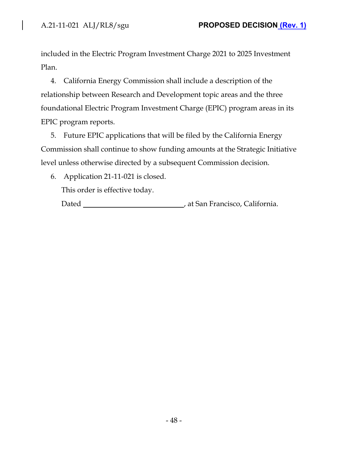$\overline{\phantom{a}}$ 

included in the Electric Program Investment Charge 2021 to 2025 Investment Plan.

4. California Energy Commission shall include a description of the relationship between Research and Development topic areas and the three foundational Electric Program Investment Charge (EPIC) program areas in its EPIC program reports.

5. Future EPIC applications that will be filed by the California Energy Commission shall continue to show funding amounts at the Strategic Initiative level unless otherwise directed by a subsequent Commission decision.

6. Application 21-11-021 is closed.

This order is effective today.

Dated **Materia California Dated California California California California**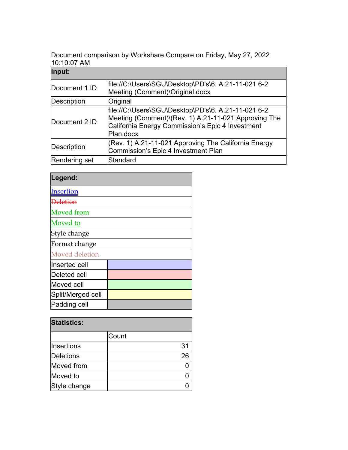Document comparison by Workshare Compare on Friday, May 27, 2022 10:10:07 AM

| Input:             |                                                                                                                                                                              |
|--------------------|------------------------------------------------------------------------------------------------------------------------------------------------------------------------------|
| Document 1 ID      | file://C:\Users\SGU\Desktop\PD's\6. A.21-11-021 6-2<br>Meeting (Comment)\Original.docx                                                                                       |
| <b>Description</b> | Original                                                                                                                                                                     |
| Document 2 ID      | file://C:\Users\SGU\Desktop\PD's\6. A.21-11-021 6-2<br>Meeting (Comment)\(Rev. 1) A.21-11-021 Approving The<br>California Energy Commission's Epic 4 Investment<br>Plan.docx |
| Description        | (Rev. 1) A.21-11-021 Approving The California Energy<br>Commission's Epic 4 Investment Plan                                                                                  |
| Rendering set      | Standard                                                                                                                                                                     |

| Legend:           |  |
|-------------------|--|
| Insertion         |  |
| Deletion          |  |
| <b>Moved</b> from |  |
| Moved to          |  |
| Style change      |  |
| Format change     |  |
| Moved deletion    |  |
| lInserted cell    |  |
| Deleted cell      |  |
| Moved cell        |  |
| Split/Merged cell |  |
| Padding cell      |  |

| <b>Statistics:</b> |       |  |
|--------------------|-------|--|
|                    | Count |  |
| <b>Insertions</b>  | 31    |  |
| Deletions          | 26    |  |
| Moved from         |       |  |
| Moved to           |       |  |
| Style change       |       |  |